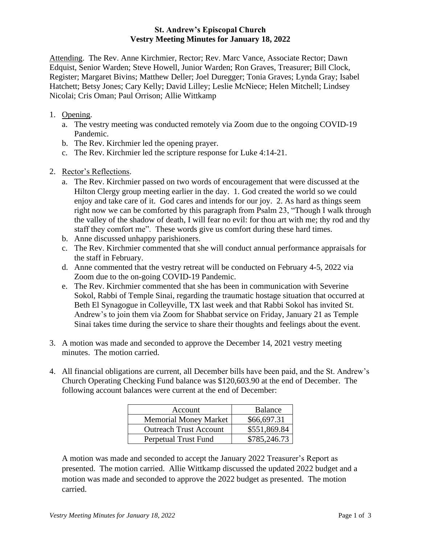## **St. Andrew's Episcopal Church Vestry Meeting Minutes for January 18, 2022**

Attending. The Rev. Anne Kirchmier, Rector; Rev. Marc Vance, Associate Rector; Dawn Edquist, Senior Warden; Steve Howell, Junior Warden; Ron Graves, Treasurer; Bill Clock, Register; Margaret Bivins; Matthew Deller; Joel Duregger; Tonia Graves; Lynda Gray; Isabel Hatchett; Betsy Jones; Cary Kelly; David Lilley; Leslie McNiece; Helen Mitchell; Lindsey Nicolai; Cris Oman; Paul Orrison; Allie Wittkamp

- 1. Opening.
	- a. The vestry meeting was conducted remotely via Zoom due to the ongoing COVID-19 Pandemic.
	- b. The Rev. Kirchmier led the opening prayer.
	- c. The Rev. Kirchmier led the scripture response for Luke 4:14-21.
- 2. Rector's Reflections.
	- a. The Rev. Kirchmier passed on two words of encouragement that were discussed at the Hilton Clergy group meeting earlier in the day. 1. God created the world so we could enjoy and take care of it. God cares and intends for our joy. 2. As hard as things seem right now we can be comforted by this paragraph from Psalm 23, "Though I walk through the valley of the shadow of death, I will fear no evil: for thou art with me; thy rod and thy staff they comfort me". These words give us comfort during these hard times.
	- b. Anne discussed unhappy parishioners.
	- c. The Rev. Kirchmier commented that she will conduct annual performance appraisals for the staff in February.
	- d. Anne commented that the vestry retreat will be conducted on February 4-5, 2022 via Zoom due to the on-going COVID-19 Pandemic.
	- e. The Rev. Kirchmier commented that she has been in communication with Severine Sokol, Rabbi of Temple Sinai, regarding the traumatic hostage situation that occurred at Beth El Synagogue in Colleyville, TX last week and that Rabbi Sokol has invited St. Andrew's to join them via Zoom for Shabbat service on Friday, January 21 as Temple Sinai takes time during the service to share their thoughts and feelings about the event.
- 3. A motion was made and seconded to approve the December 14, 2021 vestry meeting minutes. The motion carried.
- 4. All financial obligations are current, all December bills have been paid, and the St. Andrew's Church Operating Checking Fund balance was \$120,603.90 at the end of December. The following account balances were current at the end of December:

| Account                       | Balance      |
|-------------------------------|--------------|
| <b>Memorial Money Market</b>  | \$66,697.31  |
| <b>Outreach Trust Account</b> | \$551,869.84 |
| Perpetual Trust Fund          | \$785,246.73 |

A motion was made and seconded to accept the January 2022 Treasurer's Report as presented. The motion carried. Allie Wittkamp discussed the updated 2022 budget and a motion was made and seconded to approve the 2022 budget as presented. The motion carried.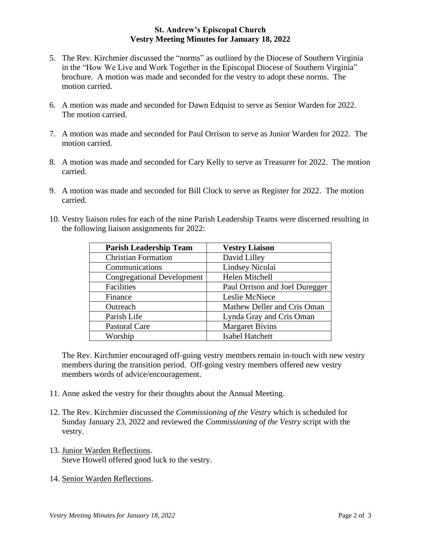## **St. Andrew's Episcopal Church Vestry Meeting Minutes for January 18, 2022**

- 5. The Rev. Kirchmier discussed the "norms" as outlined by the Diocese of Southern Virginia in the "How We Live and Work Together in the Episcopal Diocese of Southern Virginia" brochure. A motion was made and seconded for the vestry to adopt these norms. The motion carried.
- 6. A motion was made and seconded for Dawn Edquist to serve as Senior Warden for 2022. The motion carried.
- 7. A motion was made and seconded for Paul Orrison to serve as Junior Warden for 2022. The motion carried.
- 8. A motion was made and seconded for Cary Kelly to serve as Treasurer for 2022. The motion carried.
- 9. A motion was made and seconded for Bill Clock to serve as Register for 2022. The motion carried.
- 10. Vestry liaison roles for each of the nine Parish Leadership Teams were discerned resulting in the following liaison assignments for 2022:

| <b>Parish Leadership Team</b>     | <b>Vestry Liaison</b>          |
|-----------------------------------|--------------------------------|
| <b>Christian Formation</b>        | David Lilley                   |
| Communications                    | Lindsey Nicolai                |
| <b>Congregational Development</b> | Helen Mitchell                 |
| Facilities                        | Paul Orrison and Joel Duregger |
| Finance                           | Leslie McNiece                 |
| Outreach                          | Mathew Deller and Cris Oman    |
| Parish Life                       | Lynda Gray and Cris Oman       |
| <b>Pastoral Care</b>              | <b>Margaret Bivins</b>         |
| Worship                           | Isabel Hatchett                |

The Rev. Kirchmier encouraged off-going vestry members remain in-touch with new vestry members during the transition period. Off-going vestry members offered new vestry members words of advice/encouragement.

- 11. Anne asked the vestry for their thoughts about the Annual Meeting.
- 12. The Rev. Kirchmier discussed the *Commissioning of the Vestry* which is scheduled for Sunday January 23, 2022 and reviewed the *Commissioning of the Vestry* script with the vestry.
- 13. Junior Warden Reflections. Steve Howell offered good luck to the vestry.
- 14. Senior Warden Reflections.